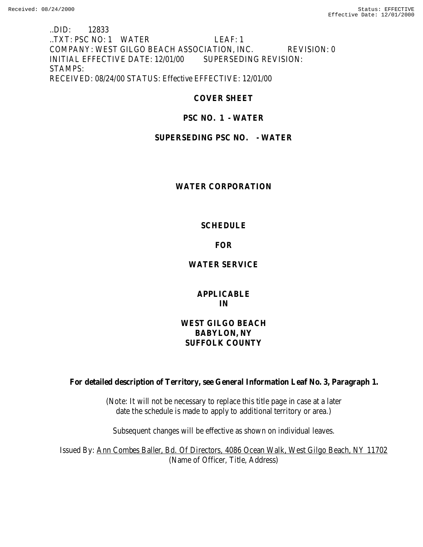..DID: 12833 ..TXT: PSC NO: 1 WATER LEAF: 1 COMPANY: WEST GILGO BEACH ASSOCIATION, INC. REVISION: 0 INITIAL EFFECTIVE DATE: 12/01/00 SUPERSEDING REVISION: STAMPS: RECEIVED: 08/24/00 STATUS: Effective EFFECTIVE: 12/01/00

# **COVER SHEET**

# **PSC NO. 1 - WATER**

## **SUPERSEDING PSC NO. - WATER**

## **WATER CORPORATION**

## **SCHEDULE**

## **FOR**

# **WATER SERVICE**

## **APPLICABLE IN**

# **WEST GILGO BEACH BABYLON, NY SUFFOLK COUNTY**

**For detailed description of Territory, see General Information Leaf No. 3, Paragraph 1.**

(Note: It will not be necessary to replace this title page in case at a later date the schedule is made to apply to additional territory or area.)

Subsequent changes will be effective as shown on individual leaves.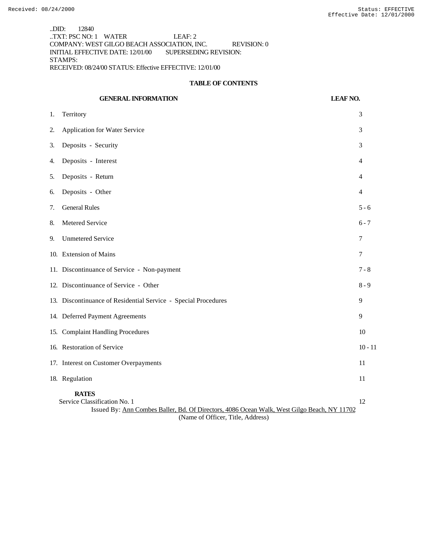..DID: 12840 ..TXT: PSC NO: 1 WATER LEAF: 2 COMPANY: WEST GILGO BEACH ASSOCIATION, INC. REVISION: 0 INITIAL EFFECTIVE DATE: 12/01/00 SUPERSEDING REVISION: STAMPS: RECEIVED: 08/24/00 STATUS: Effective EFFECTIVE: 12/01/00

#### **TABLE OF CONTENTS**

|    | <b>GENERAL INFORMATION</b>                                                                                                                                                       | <b>LEAF NO.</b> |           |
|----|----------------------------------------------------------------------------------------------------------------------------------------------------------------------------------|-----------------|-----------|
| 1. | Territory                                                                                                                                                                        |                 | 3         |
| 2. | <b>Application for Water Service</b>                                                                                                                                             |                 | 3         |
| 3. | Deposits - Security                                                                                                                                                              |                 | 3         |
| 4. | Deposits - Interest                                                                                                                                                              |                 | 4         |
| 5. | Deposits - Return                                                                                                                                                                |                 | 4         |
| 6. | Deposits - Other                                                                                                                                                                 |                 | 4         |
| 7. | <b>General Rules</b>                                                                                                                                                             |                 | $5 - 6$   |
| 8. | Metered Service                                                                                                                                                                  |                 | $6 - 7$   |
| 9. | <b>Unmetered Service</b>                                                                                                                                                         |                 | 7         |
|    | 10. Extension of Mains                                                                                                                                                           |                 | 7         |
|    | 11. Discontinuance of Service - Non-payment                                                                                                                                      |                 | $7 - 8$   |
|    | 12. Discontinuance of Service - Other                                                                                                                                            |                 | $8 - 9$   |
|    | 13. Discontinuance of Residential Service - Special Procedures                                                                                                                   |                 | 9         |
|    | 14. Deferred Payment Agreements                                                                                                                                                  |                 | 9         |
|    | 15. Complaint Handling Procedures                                                                                                                                                |                 | 10        |
|    | 16. Restoration of Service                                                                                                                                                       |                 | $10 - 11$ |
|    | 17. Interest on Customer Overpayments                                                                                                                                            |                 | 11        |
|    | 18. Regulation                                                                                                                                                                   |                 | 11        |
|    | <b>RATES</b><br>Service Classification No. 1<br>Issued By: Ann Combes Baller, Bd. Of Directors, 4086 Ocean Walk, West Gilgo Beach, NY 11702<br>(Name of Officer, Title, Address) |                 | 12        |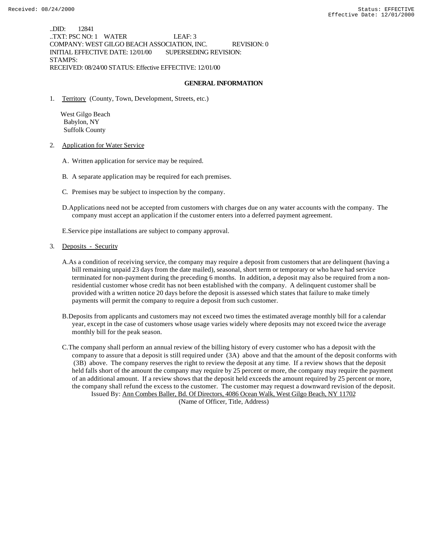..DID: 12841 ..TXT: PSC NO: 1 WATER LEAF: 3 COMPANY: WEST GILGO BEACH ASSOCIATION, INC. REVISION: 0 INITIAL EFFECTIVE DATE: 12/01/00 SUPERSEDING REVISION: STAMPS: RECEIVED: 08/24/00 STATUS: Effective EFFECTIVE: 12/01/00

### **GENERAL INFORMATION**

1. Territory (County, Town, Development, Streets, etc.)

 West Gilgo Beach Babylon, NY Suffolk County

- 2. Application for Water Service
	- A. Written application for service may be required.
	- B. A separate application may be required for each premises.
	- C. Premises may be subject to inspection by the company.
	- D.Applications need not be accepted from customers with charges due on any water accounts with the company. The company must accept an application if the customer enters into a deferred payment agreement.

E.Service pipe installations are subject to company approval.

### 3. Deposits - Security

- A.As a condition of receiving service, the company may require a deposit from customers that are delinquent (having a bill remaining unpaid 23 days from the date mailed), seasonal, short term or temporary or who have had service terminated for non-payment during the preceding 6 months. In addition, a deposit may also be required from a nonresidential customer whose credit has not been established with the company. A delinquent customer shall be provided with a written notice 20 days before the deposit is assessed which states that failure to make timely payments will permit the company to require a deposit from such customer.
- B.Deposits from applicants and customers may not exceed two times the estimated average monthly bill for a calendar year, except in the case of customers whose usage varies widely where deposits may not exceed twice the average monthly bill for the peak season.

C.The company shall perform an annual review of the billing history of every customer who has a deposit with the company to assure that a deposit is still required under (3A) above and that the amount of the deposit conforms with (3B) above. The company reserves the right to review the deposit at any time. If a review shows that the deposit held falls short of the amount the company may require by 25 percent or more, the company may require the payment of an additional amount. If a review shows that the deposit held exceeds the amount required by 25 percent or more, the company shall refund the excess to the customer. The customer may request a downward revision of the deposit. Issued By: Ann Combes Baller, Bd. Of Directors, 4086 Ocean Walk, West Gilgo Beach, NY 11702

(Name of Officer, Title, Address)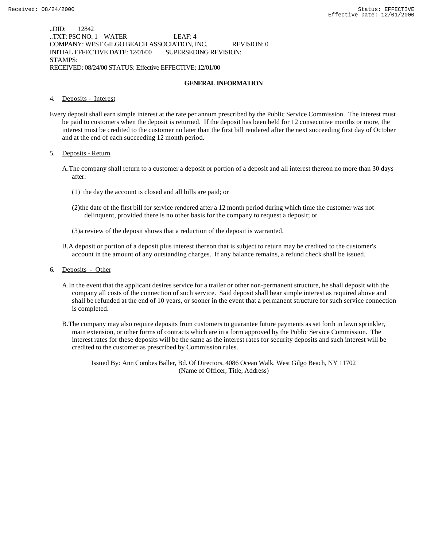..DID: 12842 ..TXT: PSC NO: 1 WATER LEAF: 4 COMPANY: WEST GILGO BEACH ASSOCIATION, INC. REVISION: 0 INITIAL EFFECTIVE DATE: 12/01/00 SUPERSEDING REVISION: STAMPS: RECEIVED: 08/24/00 STATUS: Effective EFFECTIVE: 12/01/00

#### **GENERAL INFORMATION**

### 4. Deposits - Interest

Every deposit shall earn simple interest at the rate per annum prescribed by the Public Service Commission. The interest must be paid to customers when the deposit is returned. If the deposit has been held for 12 consecutive months or more, the interest must be credited to the customer no later than the first bill rendered after the next succeeding first day of October and at the end of each succeeding 12 month period.

#### 5. Deposits - Return

- A.The company shall return to a customer a deposit or portion of a deposit and all interest thereon no more than 30 days after:
	- (1) the day the account is closed and all bills are paid; or
	- (2)the date of the first bill for service rendered after a 12 month period during which time the customer was not delinquent, provided there is no other basis for the company to request a deposit; or
	- (3)a review of the deposit shows that a reduction of the deposit is warranted.
- B.A deposit or portion of a deposit plus interest thereon that is subject to return may be credited to the customer's account in the amount of any outstanding charges. If any balance remains, a refund check shall be issued.
- 6. Deposits Other
	- A.In the event that the applicant desires service for a trailer or other non-permanent structure, he shall deposit with the company all costs of the connection of such service. Said deposit shall bear simple interest as required above and shall be refunded at the end of 10 years, or sooner in the event that a permanent structure for such service connection is completed.
	- B.The company may also require deposits from customers to guarantee future payments as set forth in lawn sprinkler, main extension, or other forms of contracts which are in a form approved by the Public Service Commission. The interest rates for these deposits will be the same as the interest rates for security deposits and such interest will be credited to the customer as prescribed by Commission rules.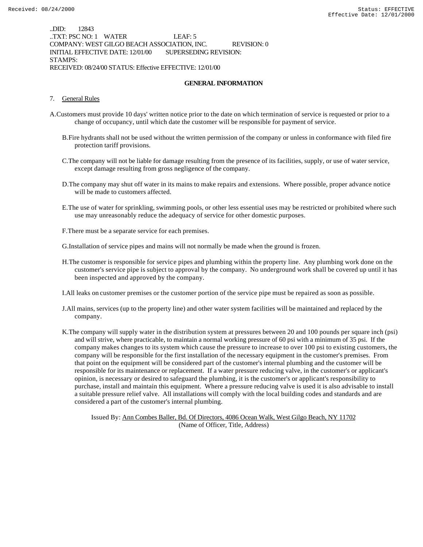..DID: 12843 ..TXT: PSC NO: 1 WATER LEAF: 5 COMPANY: WEST GILGO BEACH ASSOCIATION, INC. REVISION: 0 INITIAL EFFECTIVE DATE: 12/01/00 SUPERSEDING REVISION: STAMPS: RECEIVED: 08/24/00 STATUS: Effective EFFECTIVE: 12/01/00

#### **GENERAL INFORMATION**

### 7. General Rules

- A.Customers must provide 10 days' written notice prior to the date on which termination of service is requested or prior to a change of occupancy, until which date the customer will be responsible for payment of service.
	- B.Fire hydrants shall not be used without the written permission of the company or unless in conformance with filed fire protection tariff provisions.
	- C.The company will not be liable for damage resulting from the presence of its facilities, supply, or use of water service, except damage resulting from gross negligence of the company.
	- D.The company may shut off water in its mains to make repairs and extensions. Where possible, proper advance notice will be made to customers affected.
	- E.The use of water for sprinkling, swimming pools, or other less essential uses may be restricted or prohibited where such use may unreasonably reduce the adequacy of service for other domestic purposes.
	- F.There must be a separate service for each premises.
	- G.Installation of service pipes and mains will not normally be made when the ground is frozen.
	- H.The customer is responsible for service pipes and plumbing within the property line. Any plumbing work done on the customer's service pipe is subject to approval by the company. No underground work shall be covered up until it has been inspected and approved by the company.
	- I.All leaks on customer premises or the customer portion of the service pipe must be repaired as soon as possible.
	- J.All mains, services (up to the property line) and other water system facilities will be maintained and replaced by the company.
	- K.The company will supply water in the distribution system at pressures between 20 and 100 pounds per square inch (psi) and will strive, where practicable, to maintain a normal working pressure of 60 psi with a minimum of 35 psi. If the company makes changes to its system which cause the pressure to increase to over 100 psi to existing customers, the company will be responsible for the first installation of the necessary equipment in the customer's premises. From that point on the equipment will be considered part of the customer's internal plumbing and the customer will be responsible for its maintenance or replacement. If a water pressure reducing valve, in the customer's or applicant's opinion, is necessary or desired to safeguard the plumbing, it is the customer's or applicant's responsibility to purchase, install and maintain this equipment. Where a pressure reducing valve is used it is also advisable to install a suitable pressure relief valve. All installations will comply with the local building codes and standards and are considered a part of the customer's internal plumbing.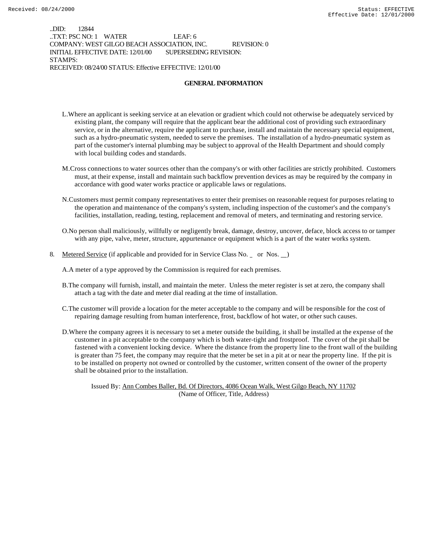..DID: 12844 ..TXT: PSC NO: 1 WATER LEAF: 6 COMPANY: WEST GILGO BEACH ASSOCIATION, INC. REVISION: 0 INITIAL EFFECTIVE DATE: 12/01/00 SUPERSEDING REVISION: STAMPS: RECEIVED: 08/24/00 STATUS: Effective EFFECTIVE: 12/01/00

### **GENERAL INFORMATION**

- L.Where an applicant is seeking service at an elevation or gradient which could not otherwise be adequately serviced by existing plant, the company will require that the applicant bear the additional cost of providing such extraordinary service, or in the alternative, require the applicant to purchase, install and maintain the necessary special equipment, such as a hydro-pneumatic system, needed to serve the premises. The installation of a hydro-pneumatic system as part of the customer's internal plumbing may be subject to approval of the Health Department and should comply with local building codes and standards.
- M.Cross connections to water sources other than the company's or with other facilities are strictly prohibited. Customers must, at their expense, install and maintain such backflow prevention devices as may be required by the company in accordance with good water works practice or applicable laws or regulations.
- N.Customers must permit company representatives to enter their premises on reasonable request for purposes relating to the operation and maintenance of the company's system, including inspection of the customer's and the company's facilities, installation, reading, testing, replacement and removal of meters, and terminating and restoring service.
- O.No person shall maliciously, willfully or negligently break, damage, destroy, uncover, deface, block access to or tamper with any pipe, valve, meter, structure, appurtenance or equipment which is a part of the water works system.
- 8. Metered Service (if applicable and provided for in Service Class No. \_ or Nos. \_)

A.A meter of a type approved by the Commission is required for each premises.

- B.The company will furnish, install, and maintain the meter. Unless the meter register is set at zero, the company shall attach a tag with the date and meter dial reading at the time of installation.
- C.The customer will provide a location for the meter acceptable to the company and will be responsible for the cost of repairing damage resulting from human interference, frost, backflow of hot water, or other such causes.
- D.Where the company agrees it is necessary to set a meter outside the building, it shall be installed at the expense of the customer in a pit acceptable to the company which is both water-tight and frostproof. The cover of the pit shall be fastened with a convenient locking device. Where the distance from the property line to the front wall of the building is greater than 75 feet, the company may require that the meter be set in a pit at or near the property line. If the pit is to be installed on property not owned or controlled by the customer, written consent of the owner of the property shall be obtained prior to the installation.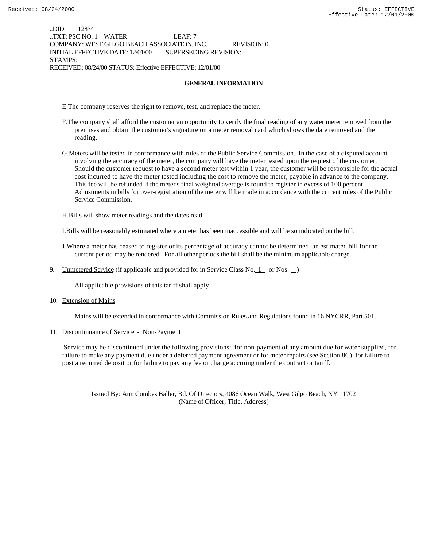..DID: 12834 ..TXT: PSC NO: 1 WATER LEAF: 7 COMPANY: WEST GILGO BEACH ASSOCIATION, INC. REVISION: 0 INITIAL EFFECTIVE DATE: 12/01/00 SUPERSEDING REVISION: STAMPS: RECEIVED: 08/24/00 STATUS: Effective EFFECTIVE: 12/01/00

### **GENERAL INFORMATION**

E.The company reserves the right to remove, test, and replace the meter.

- F.The company shall afford the customer an opportunity to verify the final reading of any water meter removed from the premises and obtain the customer's signature on a meter removal card which shows the date removed and the reading.
- G.Meters will be tested in conformance with rules of the Public Service Commission. In the case of a disputed account involving the accuracy of the meter, the company will have the meter tested upon the request of the customer. Should the customer request to have a second meter test within 1 year, the customer will be responsible for the actual cost incurred to have the meter tested including the cost to remove the meter, payable in advance to the company. This fee will be refunded if the meter's final weighted average is found to register in excess of 100 percent. Adjustments in bills for over-registration of the meter will be made in accordance with the current rules of the Public Service Commission.

H.Bills will show meter readings and the dates read.

I.Bills will be reasonably estimated where a meter has been inaccessible and will be so indicated on the bill.

J.Where a meter has ceased to register or its percentage of accuracy cannot be determined, an estimated bill for the current period may be rendered. For all other periods the bill shall be the minimum applicable charge.

9. Unmetered Service (if applicable and provided for in Service Class No.  $1$  or Nos.  $)$ 

All applicable provisions of this tariff shall apply.

10. Extension of Mains

Mains will be extended in conformance with Commission Rules and Regulations found in 16 NYCRR, Part 501.

11. Discontinuance of Service - Non-Payment

 Service may be discontinued under the following provisions: for non-payment of any amount due for water supplied, for failure to make any payment due under a deferred payment agreement or for meter repairs (see Section 8C), for failure to post a required deposit or for failure to pay any fee or charge accruing under the contract or tariff.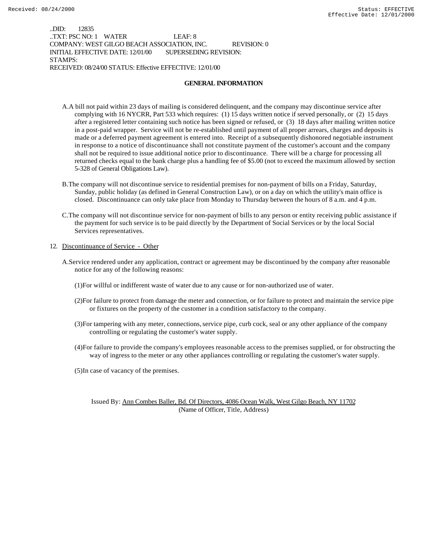..DID: 12835 ..TXT: PSC NO: 1 WATER LEAF: 8 COMPANY: WEST GILGO BEACH ASSOCIATION, INC. REVISION: 0 INITIAL EFFECTIVE DATE: 12/01/00 SUPERSEDING REVISION: STAMPS: RECEIVED: 08/24/00 STATUS: Effective EFFECTIVE: 12/01/00

### **GENERAL INFORMATION**

- A.A bill not paid within 23 days of mailing is considered delinquent, and the company may discontinue service after complying with 16 NYCRR, Part 533 which requires: (1) 15 days written notice if served personally, or (2) 15 days after a registered letter containing such notice has been signed or refused, or (3) 18 days after mailing written notice in a post-paid wrapper. Service will not be re-established until payment of all proper arrears, charges and deposits is made or a deferred payment agreement is entered into. Receipt of a subsequently dishonored negotiable instrument in response to a notice of discontinuance shall not constitute payment of the customer's account and the company shall not be required to issue additional notice prior to discontinuance. There will be a charge for processing all returned checks equal to the bank charge plus a handling fee of \$5.00 (not to exceed the maximum allowed by section 5-328 of General Obligations Law).
- B.The company will not discontinue service to residential premises for non-payment of bills on a Friday, Saturday, Sunday, public holiday (as defined in General Construction Law), or on a day on which the utility's main office is closed. Discontinuance can only take place from Monday to Thursday between the hours of 8 a.m. and 4 p.m.
- C.The company will not discontinue service for non-payment of bills to any person or entity receiving public assistance if the payment for such service is to be paid directly by the Department of Social Services or by the local Social Services representatives.

### 12. Discontinuance of Service - Other

- A.Service rendered under any application, contract or agreement may be discontinued by the company after reasonable notice for any of the following reasons:
	- (1)For willful or indifferent waste of water due to any cause or for non-authorized use of water.
	- (2)For failure to protect from damage the meter and connection, or for failure to protect and maintain the service pipe or fixtures on the property of the customer in a condition satisfactory to the company.
	- (3)For tampering with any meter, connections, service pipe, curb cock, seal or any other appliance of the company controlling or regulating the customer's water supply.
	- (4)For failure to provide the company's employees reasonable access to the premises supplied, or for obstructing the way of ingress to the meter or any other appliances controlling or regulating the customer's water supply.
	- (5)In case of vacancy of the premises.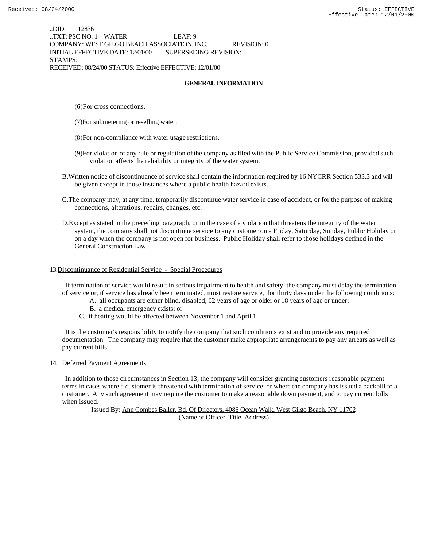..DID: 12836 ..TXT: PSC NO: 1 WATER LEAF: 9 COMPANY: WEST GILGO BEACH ASSOCIATION, INC. REVISION: 0 INITIAL EFFECTIVE DATE: 12/01/00 SUPERSEDING REVISION: STAMPS: RECEIVED: 08/24/00 STATUS: Effective EFFECTIVE: 12/01/00

### **GENERAL INFORMATION**

- (6)For cross connections.
- (7)For submetering or reselling water.
- (8)For non-compliance with water usage restrictions.
- (9)For violation of any rule or regulation of the company as filed with the Public Service Commission, provided such violation affects the reliability or integrity of the water system.
- B.Written notice of discontinuance of service shall contain the information required by 16 NYCRR Section 533.3 and will be given except in those instances where a public health hazard exists.
- C.The company may, at any time, temporarily discontinue water service in case of accident, or for the purpose of making connections, alterations, repairs, changes, etc.
- D.Except as stated in the preceding paragraph, or in the case of a violation that threatens the integrity of the water system, the company shall not discontinue service to any customer on a Friday, Saturday, Sunday, Public Holiday or on a day when the company is not open for business. Public Holiday shall refer to those holidays defined in the General Construction Law.

### 13.Discontinuance of Residential Service - Special Procedures

 If termination of service would result in serious impairment to health and safety, the company must delay the termination of service or, if service has already been terminated, must restore service, for thirty days under the following conditions:

- A. all occupants are either blind, disabled, 62 years of age or older or 18 years of age or under;
- B. a medical emergency exists; or
- C. if heating would be affected between November 1 and April 1.

 It is the customer's responsibility to notify the company that such conditions exist and to provide any required documentation. The company may require that the customer make appropriate arrangements to pay any arrears as well as pay current bills.

14. Deferred Payment Agreements

 In addition to those circumstances in Section 13, the company will consider granting customers reasonable payment terms in cases where a customer is threatened with termination of service, or where the company has issued a backbill to a customer. Any such agreement may require the customer to make a reasonable down payment, and to pay current bills when issued.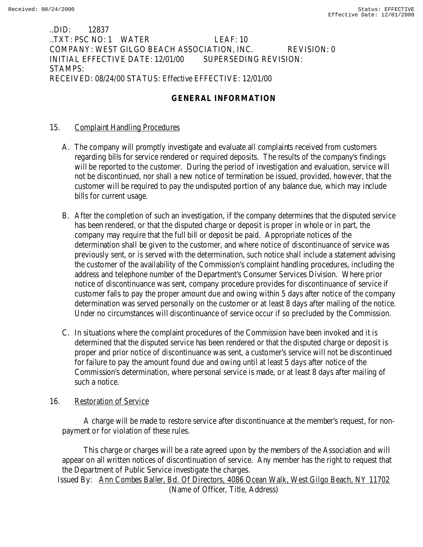## ..DID: 12837 ..TXT: PSC NO: 1 WATER LEAF: 10 COMPANY: WEST GILGO BEACH ASSOCIATION, INC. REVISION: 0 INITIAL EFFECTIVE DATE: 12/01/00 SUPERSEDING REVISION: STAMPS: RECEIVED: 08/24/00 STATUS: Effective EFFECTIVE: 12/01/00

# **GENERAL INFORMATION**

## 15. Complaint Handling Procedures

- A. The company will promptly investigate and evaluate all complaints received from customers regarding bills for service rendered or required deposits. The results of the company's findings will be reported to the customer. During the period of investigation and evaluation, service will not be discontinued, nor shall a new notice of termination be issued, provided, however, that the customer will be required to pay the undisputed portion of any balance due, which may include bills for current usage.
- B. After the completion of such an investigation, if the company determines that the disputed service has been rendered, or that the disputed charge or deposit is proper in whole or in part, the company may require that the full bill or deposit be paid. Appropriate notices of the determination shall be given to the customer, and where notice of discontinuance of service was previously sent, or is served with the determination, such notice shall include a statement advising the customer of the availability of the Commission's complaint handling procedures, including the address and telephone number of the Department's Consumer Services Division. Where prior notice of discontinuance was sent, company procedure provides for discontinuance of service if customer fails to pay the proper amount due and owing within 5 days after notice of the company determination was served personally on the customer or at least 8 days after mailing of the notice. Under no circumstances will discontinuance of service occur if so precluded by the Commission.
- C. In situations where the complaint procedures of the Commission have been invoked and it is determined that the disputed service has been rendered or that the disputed charge or deposit is proper and prior notice of discontinuance was sent, a customer's service will not be discontinued for failure to pay the amount found due and owing until at least 5 days after notice of the Commission's determination, where personal service is made, or at least 8 days after mailing of such a notice.

## 16. Restoration of Service

 A charge will be made to restore service after discontinuance at the member's request, for nonpayment or for violation of these rules.

 This charge or charges will be a rate agreed upon by the members of the Association and will appear on all written notices of discontinuation of service. Any member has the right to request that the Department of Public Service investigate the charges. Issued By: Ann Combes Baller, Bd. Of Directors, 4086 Ocean Walk, West Gilgo Beach, NY 11702 (Name of Officer, Title, Address)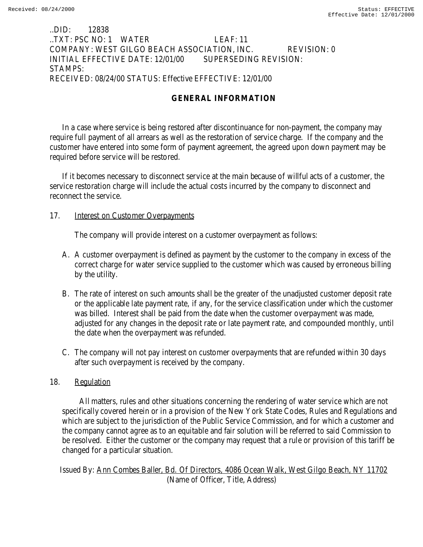### ..DID: 12838 ..TXT: PSC NO: 1 WATER LEAF: 11 COMPANY: WEST GILGO BEACH ASSOCIATION, INC. REVISION: 0 INITIAL EFFECTIVE DATE: 12/01/00 SUPERSEDING REVISION: STAMPS: RECEIVED: 08/24/00 STATUS: Effective EFFECTIVE: 12/01/00

# **GENERAL INFORMATION**

In a case where service is being restored after discontinuance for non-payment, the company may require full payment of all arrears as well as the restoration of service charge. If the company and the customer have entered into some form of payment agreement, the agreed upon down payment may be required before service will be restored.

If it becomes necessary to disconnect service at the main because of willful acts of a customer, the service restoration charge will include the actual costs incurred by the company to disconnect and reconnect the service.

### 17. **Interest on Customer Overpayments**

The company will provide interest on a customer overpayment as follows:

- A. A customer overpayment is defined as payment by the customer to the company in excess of the correct charge for water service supplied to the customer which was caused by erroneous billing by the utility.
- B. The rate of interest on such amounts shall be the greater of the unadjusted customer deposit rate or the applicable late payment rate, if any, for the service classification under which the customer was billed. Interest shall be paid from the date when the customer overpayment was made, adjusted for any changes in the deposit rate or late payment rate, and compounded monthly, until the date when the overpayment was refunded.
- C. The company will not pay interest on customer overpayments that are refunded within 30 days after such overpayment is received by the company.

## 18. Regulation

 All matters, rules and other situations concerning the rendering of water service which are not specifically covered herein or in a provision of the New York State Codes, Rules and Regulations and which are subject to the jurisdiction of the Public Service Commission, and for which a customer and the company cannot agree as to an equitable and fair solution will be referred to said Commission to be resolved. Either the customer or the company may request that a rule or provision of this tariff be changed for a particular situation.